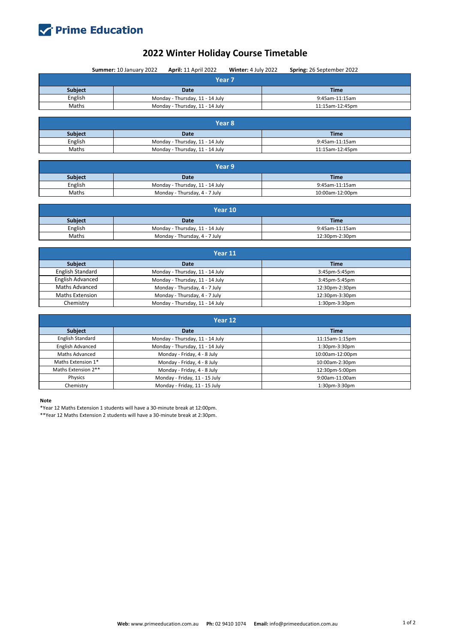

## **2022 Winter Holiday Course Timetable**

|                         | Summer: 10 January 2022<br><b>April: 11 April 2022</b> | Winter: 4 July 2022 | Spring: 26 September 2022 |  |  |  |  |  |
|-------------------------|--------------------------------------------------------|---------------------|---------------------------|--|--|--|--|--|
| Year 7                  |                                                        |                     |                           |  |  |  |  |  |
| Subject                 | <b>Date</b>                                            |                     | <b>Time</b>               |  |  |  |  |  |
| English                 | Monday - Thursday, 11 - 14 July                        |                     |                           |  |  |  |  |  |
| Maths                   | Monday - Thursday, 11 - 14 July                        |                     | 11:15am-12:45pm           |  |  |  |  |  |
|                         |                                                        |                     |                           |  |  |  |  |  |
| Year <sub>8</sub>       |                                                        |                     |                           |  |  |  |  |  |
| <b>Subject</b>          | Date                                                   |                     | <b>Time</b>               |  |  |  |  |  |
| English                 | Monday - Thursday, 11 - 14 July                        |                     | 9:45am-11:15am            |  |  |  |  |  |
| Maths                   | Monday - Thursday, 11 - 14 July                        |                     |                           |  |  |  |  |  |
|                         |                                                        |                     |                           |  |  |  |  |  |
| Year 9                  |                                                        |                     |                           |  |  |  |  |  |
| Subject                 | <b>Date</b>                                            |                     | <b>Time</b>               |  |  |  |  |  |
| English                 | Monday - Thursday, 11 - 14 July                        |                     | 9:45am-11:15am            |  |  |  |  |  |
| Maths                   | Monday - Thursday, 4 - 7 July                          |                     | 10:00am-12:00pm           |  |  |  |  |  |
|                         |                                                        |                     |                           |  |  |  |  |  |
| Year 10                 |                                                        |                     |                           |  |  |  |  |  |
| Subject                 | <b>Date</b>                                            |                     | <b>Time</b>               |  |  |  |  |  |
| English                 | Monday - Thursday, 11 - 14 July                        |                     | 9:45am-11:15am            |  |  |  |  |  |
| Maths                   | Monday - Thursday, 4 - 7 July                          |                     |                           |  |  |  |  |  |
|                         |                                                        |                     |                           |  |  |  |  |  |
|                         | Year 11                                                |                     |                           |  |  |  |  |  |
| Subject                 | <b>Date</b>                                            |                     | <b>Time</b>               |  |  |  |  |  |
| <b>English Standard</b> | Monday - Thursday, 11 - 14 July                        |                     | 3:45pm-5:45pm             |  |  |  |  |  |
| <b>English Advanced</b> | Monday - Thursday, 11 - 14 July                        |                     | 3:45pm-5:45pm             |  |  |  |  |  |
| <b>Maths Advanced</b>   | Monday - Thursday, 4 - 7 July                          |                     | 12:30pm-2:30pm            |  |  |  |  |  |
| <b>Maths Extension</b>  | Monday - Thursday, 4 - 7 July                          |                     | 12:30pm-3:30pm            |  |  |  |  |  |
| Chemistry               | Monday - Thursday, 11 - 14 July                        |                     | 1:30pm-3:30pm             |  |  |  |  |  |
|                         |                                                        |                     |                           |  |  |  |  |  |
| Year 12                 |                                                        |                     |                           |  |  |  |  |  |
| Subject                 | <b>Date</b>                                            |                     | <b>Time</b>               |  |  |  |  |  |
| <b>English Standard</b> | Monday - Thursday, 11 - 14 July                        |                     | 11:15am-1:15pm            |  |  |  |  |  |
| <b>English Advanced</b> | Monday - Thursday, 11 - 14 July                        |                     | 1:30pm-3:30pm             |  |  |  |  |  |
| Maths Advanced          | Monday - Friday, 4 - 8 July                            |                     | 10:00am-12:00pm           |  |  |  |  |  |
| Maths Extension 1*      | Monday - Friday, 4 - 8 July                            |                     | 10:00am-2:30pm            |  |  |  |  |  |
| Maths Extension 2**     | Monday - Friday, 4 - 8 July                            |                     | 12:30pm-5:00pm            |  |  |  |  |  |
| Physics                 | Monday - Friday, 11 - 15 July                          |                     | 9:00am-11:00am            |  |  |  |  |  |

**Note**

Chemistry

\*Year 12 Maths Extension 1 students will have a 30-minute break at 12:00pm.

Monday - Friday, 11 - 15 July

\*\*Year 12 Maths Extension 2 students will have a 30-minute break at 2:30pm.

1:30pm-3:30pm